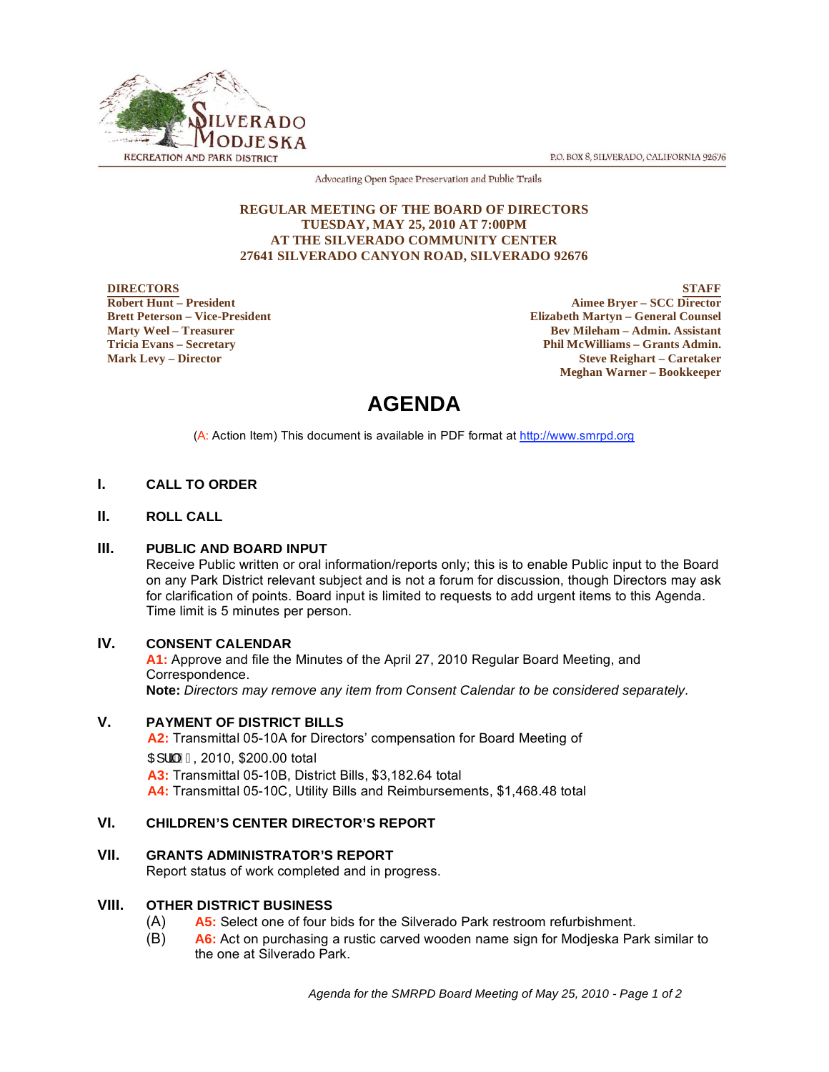P.O. BOX 8, SILVERADO, CALIFORNIA 92676



Advocating Open Space Preservation and Public Trails

#### **REGULAR MEETING OF THE BOARD OF DIRECTORS TUESDAY, MAY 25, 2010 AT 7:00PM AT THE SILVERADO COMMUNITY CENTER 27641 SILVERADO CANYON ROAD, SILVERADO 92676**

#### **DIRECTORS Robert Hunt – President Brett Peterson – Vice-President Marty Weel – Treasurer Tricia Evans – Secretary Mark Levy – Director**

**STAFF Aimee Bryer – SCC Director Elizabeth Martyn – General Counsel Bev Mileham – Admin. Assistant Phil McWilliams – Grants Admin. Steve Reighart – Caretaker Meghan Warner – Bookkeeper**

# **AGENDA**

(A: Action Item) This document is available in PDF format at http://www.smrpd.org

# **I. CALL TO ORDER**

# **II. ROLL CALL**

# **III. PUBLIC AND BOARD INPUT**

Receive Public written or oral information/reports only; this is to enable Public input to the Board on any Park District relevant subject and is not a forum for discussion, though Directors may ask for clarification of points. Board input is limited to requests to add urgent items to this Agenda. Time limit is 5 minutes per person.

# **IV. CONSENT CALENDAR**

**A1:** Approve and file the Minutes of the April 27, 2010 Regular Board Meeting, and Correspondence. **Note:** *Directors may remove any item from Consent Calendar to be considered separately.* 

# **V. PAYMENT OF DISTRICT BILLS**

**A2:** Transmittal 05-10A for Directors' compensation for Board Meeting of  $\text{CH} \, \text{H} \, \text{H} \, \text{H}$ , 2010, \$200.00 total **A3:** Transmittal 05-10B, District Bills, \$3,182.64 total **A4:** Transmittal 05-10C, Utility Bills and Reimbursements, \$1,468.48 total

# **VI. CHILDREN'S CENTER DIRECTOR'S REPORT**

# **VII. GRANTS ADMINISTRATOR'S REPORT**

Report status of work completed and in progress.

# **VIII. OTHER DISTRICT BUSINESS**

- (A) **A5:** Select one of four bids for the Silverado Park restroom refurbishment.
- (B) **A6:** Act on purchasing a rustic carved wooden name sign for Modjeska Park similar to the one at Silverado Park.